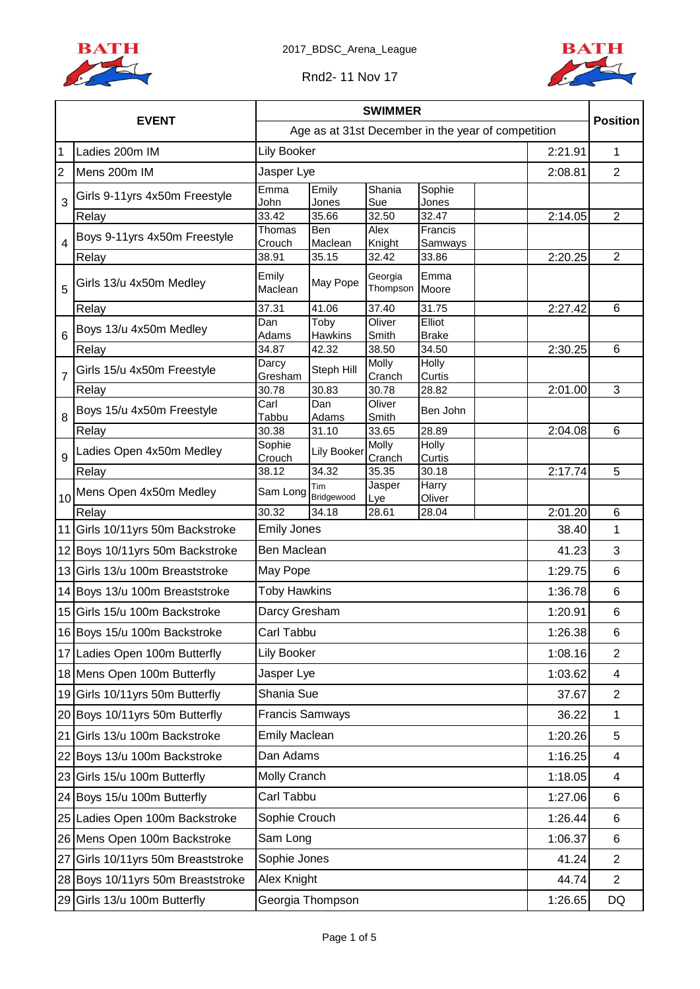



Rnd2- 11 Nov 17

|                |                                   | <b>SWIMMER</b>                                     |                        |                     |                        |         |                |
|----------------|-----------------------------------|----------------------------------------------------|------------------------|---------------------|------------------------|---------|----------------|
|                | <b>EVENT</b>                      | Age as at 31st December in the year of competition |                        |                     |                        |         |                |
| $\overline{1}$ | Ladies 200m IM                    | <b>Lily Booker</b>                                 |                        |                     |                        | 2:21.91 | 1              |
| $\overline{2}$ | Mens 200m IM                      | Jasper Lye                                         |                        |                     |                        | 2:08.81 | $\overline{2}$ |
| 3              | Girls 9-11yrs 4x50m Freestyle     | Emma<br>John                                       | Emily<br>Jones         | Shania<br>Sue       | Sophie<br>Jones        |         |                |
|                | Relay                             | 33.42                                              | 35.66                  | 32.50               | 32.47                  | 2:14.05 | $\overline{2}$ |
| $\overline{4}$ | Boys 9-11yrs 4x50m Freestyle      | Thomas<br>Crouch                                   | Ben<br>Maclean         | Alex                | Francis                |         |                |
|                | Relay                             | 38.91                                              | 35.15                  | Knight<br>32.42     | Samways<br>33.86       | 2:20.25 | $\overline{2}$ |
| 5              | Girls 13/u 4x50m Medley           | Emily<br>Maclean                                   | May Pope               | Georgia<br>Thompson | Emma<br>Moore          |         |                |
|                | Relay                             | 37.31                                              | 41.06                  | 37.40               | 31.75                  | 2:27.42 | 6              |
| 6              | Boys 13/u 4x50m Medley            | Dan<br>Adams                                       | Toby<br><b>Hawkins</b> | Oliver<br>Smith     | Elliot<br><b>Brake</b> |         |                |
|                | Relay                             | 34.87                                              | 42.32                  | 38.50               | 34.50                  | 2:30.25 | 6              |
|                | Girls 15/u 4x50m Freestyle        | Darcy                                              | Steph Hill             | Molly               | Holly                  |         |                |
| $\overline{7}$ | Relay                             | Gresham<br>30.78                                   | 30.83                  | Cranch<br>30.78     | Curtis<br>28.82        | 2:01.00 | 3              |
|                | Boys 15/u 4x50m Freestyle         | Carl                                               | Dan                    | Oliver              | Ben John               |         |                |
| 8              | Relay                             | Tabbu<br>30.38                                     | Adams<br>31.10         | Smith<br>33.65      | 28.89                  | 2:04.08 | 6              |
| 9              | Ladies Open 4x50m Medley          | Sophie                                             | <b>Lily Booker</b>     | Molly               | Holly                  |         |                |
|                | Relay                             | Crouch<br>38.12                                    | 34.32                  | Cranch<br>35.35     | Curtis<br>30.18        | 2:17.74 | 5              |
|                | Mens Open 4x50m Medley            | Sam Long                                           | Tim                    | Jasper              | Harry                  |         |                |
| 10             | Relay                             | 30.32                                              | Bridgewood<br>34.18    | Lye<br>28.61        | Oliver<br>28.04        | 2:01.20 | 6              |
|                | 11 Girls 10/11yrs 50m Backstroke  | <b>Emily Jones</b>                                 |                        |                     |                        | 38.40   | 1              |
|                | 12 Boys 10/11 yrs 50m Backstroke  | Ben Maclean                                        |                        |                     |                        | 41.23   | 3              |
|                | 13 Girls 13/u 100m Breaststroke   | May Pope                                           | 1:29.75                |                     |                        |         |                |
|                | 14 Boys 13/u 100m Breaststroke    | <b>Toby Hawkins</b>                                |                        |                     |                        | 1:36.78 | 6              |
|                | 15 Girls 15/u 100m Backstroke     | Darcy Gresham                                      |                        |                     |                        | 1:20.91 | 6              |
|                | 16 Boys 15/u 100m Backstroke      | Carl Tabbu                                         |                        |                     |                        | 1:26.38 | 6              |
|                | 17 Ladies Open 100m Butterfly     | Lily Booker                                        |                        |                     |                        | 1:08.16 | $\overline{2}$ |
|                | 18 Mens Open 100m Butterfly       | Jasper Lye                                         |                        |                     |                        | 1:03.62 | 4              |
|                | 19 Girls 10/11yrs 50m Butterfly   | Shania Sue                                         |                        |                     |                        | 37.67   | $\overline{2}$ |
|                | 20 Boys 10/11yrs 50m Butterfly    | <b>Francis Samways</b>                             |                        |                     |                        | 36.22   | $\mathbf{1}$   |
| 21             | Girls 13/u 100m Backstroke        | <b>Emily Maclean</b>                               |                        |                     |                        | 1:20.26 | 5              |
|                | 22 Boys 13/u 100m Backstroke      | Dan Adams                                          |                        |                     |                        | 1:16.25 | 4              |
|                | 23 Girls 15/u 100m Butterfly      | Molly Cranch                                       |                        |                     |                        | 1:18.05 | 4              |
|                | 24 Boys 15/u 100m Butterfly       | Carl Tabbu                                         |                        |                     |                        | 1:27.06 | 6              |
|                | 25 Ladies Open 100m Backstroke    | Sophie Crouch                                      |                        |                     |                        | 1:26.44 | 6              |
|                | 26 Mens Open 100m Backstroke      | Sam Long                                           |                        |                     |                        | 1:06.37 | 6              |
| 27             | Girls 10/11yrs 50m Breaststroke   | Sophie Jones                                       |                        |                     |                        | 41.24   | $\overline{2}$ |
|                | 28 Boys 10/11yrs 50m Breaststroke | Alex Knight                                        |                        |                     |                        | 44.74   | $\overline{2}$ |
|                | 29 Girls 13/u 100m Butterfly      | Georgia Thompson                                   |                        |                     |                        | 1:26.65 | DQ             |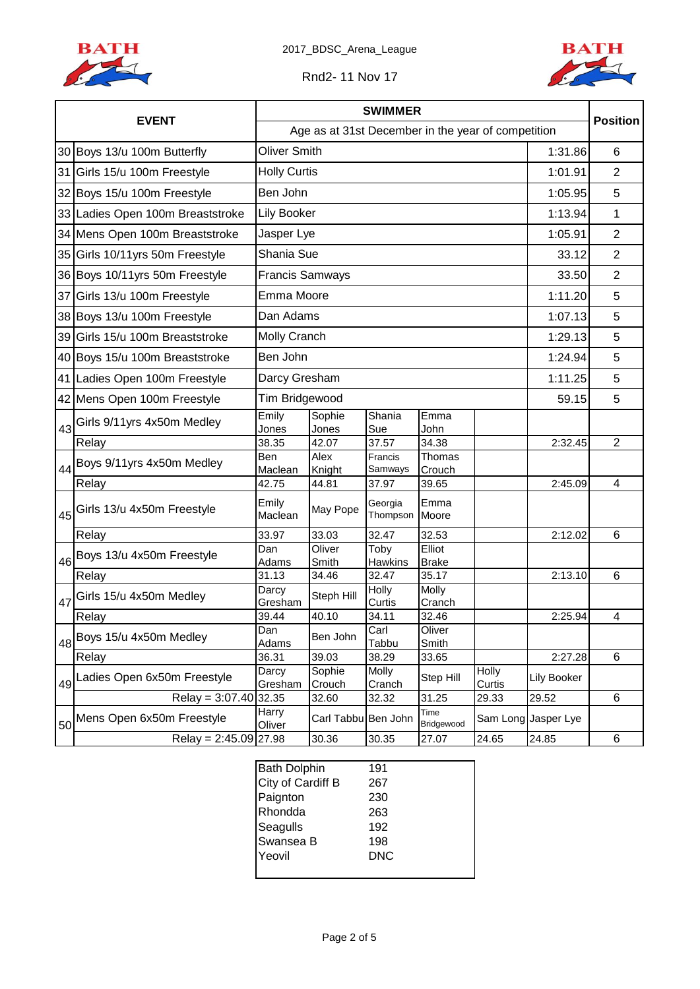



Rnd2- 11 Nov 17

|    |                                  | <b>SWIMMER</b>                                     |                       |                        |                        |                 |                     | <b>Position</b> |
|----|----------------------------------|----------------------------------------------------|-----------------------|------------------------|------------------------|-----------------|---------------------|-----------------|
|    | <b>EVENT</b>                     | Age as at 31st December in the year of competition |                       |                        |                        |                 |                     |                 |
|    | 30 Boys 13/u 100m Butterfly      | <b>Oliver Smith</b>                                |                       |                        |                        |                 | 1:31.86             | 6               |
|    | 31 Girls 15/u 100m Freestyle     | <b>Holly Curtis</b>                                |                       |                        |                        |                 | 1:01.91             | $\overline{2}$  |
|    | 32 Boys 15/u 100m Freestyle      | Ben John                                           |                       |                        |                        |                 | 1:05.95             | 5               |
|    | 33 Ladies Open 100m Breaststroke | Lily Booker                                        |                       |                        |                        |                 | 1:13.94             | 1               |
|    | 34 Mens Open 100m Breaststroke   | Jasper Lye                                         |                       |                        |                        |                 | 1:05.91             | $\overline{2}$  |
|    | 35 Girls 10/11yrs 50m Freestyle  | Shania Sue                                         |                       |                        |                        |                 | 33.12               | $\overline{2}$  |
|    | 36 Boys 10/11yrs 50m Freestyle   | <b>Francis Samways</b>                             |                       |                        |                        |                 | 33.50               | $\overline{2}$  |
|    | 37 Girls 13/u 100m Freestyle     |                                                    | Emma Moore<br>1:11.20 |                        |                        |                 |                     |                 |
|    | 38 Boys 13/u 100m Freestyle      | Dan Adams                                          |                       |                        |                        |                 | 1:07.13             | 5               |
|    | 39 Girls 15/u 100m Breaststroke  | <b>Molly Cranch</b>                                |                       |                        |                        |                 | 1:29.13             | 5               |
|    | 40 Boys 15/u 100m Breaststroke   | Ben John                                           |                       |                        |                        |                 | 1:24.94             | 5               |
|    | 41 Ladies Open 100m Freestyle    | Darcy Gresham                                      |                       |                        |                        |                 | 1:11.25             | 5               |
|    | 42 Mens Open 100m Freestyle      | Tim Bridgewood                                     |                       |                        |                        |                 |                     | 5               |
| 43 | Girls 9/11yrs 4x50m Medley       | Emily<br>Jones                                     | Sophie<br>Jones       | Shania<br>Sue          | Emma<br>John           |                 |                     |                 |
|    | Relay                            | 38.35                                              | 42.07                 | 37.57                  | 34.38                  |                 | 2:32.45             | $\overline{2}$  |
| 44 | Boys 9/11yrs 4x50m Medley        | <b>Ben</b><br>Maclean                              | Alex<br>Knight        | Francis<br>Samways     | Thomas<br>Crouch       |                 |                     |                 |
|    | Relay                            | 42.75                                              | 44.81                 | 37.97                  | 39.65                  |                 | 2:45.09             | 4               |
| 45 | Girls 13/u 4x50m Freestyle       | Emily<br>Maclean                                   | May Pope              | Georgia<br>Thompson    | Emma<br>Moore          |                 |                     |                 |
|    | Relay                            | 33.97                                              | 33.03                 | 32.47                  | 32.53                  |                 | 2:12.02             | 6               |
| 46 | Boys 13/u 4x50m Freestyle        | Dan<br>Adams                                       | Oliver<br>Smith       | Toby<br><b>Hawkins</b> | Elliot<br><b>Brake</b> |                 |                     |                 |
|    | Relay                            | 31.13                                              | 34.46                 | 32.47                  | 35.17                  |                 | 2:13.10             | 6               |
| 47 | Girls 15/u 4x50m Medley          | Darcy<br>Gresham                                   | Steph Hill            | Holly<br>Curtis        | Molly<br>Cranch        |                 |                     |                 |
|    | Relay                            | 39.44                                              | 40.10                 | 34.11                  | 32.46                  |                 | 2:25.94             | 4               |
| 48 | Boys 15/u 4x50m Medley           | Dan<br>Adams                                       | Ben John              | Carl<br>Tabbu          | Oliver<br>Smith        |                 |                     |                 |
|    | Relay                            | 36.31                                              | 39.03                 | 38.29                  | 33.65                  |                 | 2:27.28             | 6               |
| 49 | Ladies Open 6x50m Freestyle      | Darcy<br>Gresham                                   | Sophie<br>Crouch      | Molly<br>Cranch        | Step Hill              | Holly<br>Curtis | <b>Lily Booker</b>  |                 |
|    | Relay = $3.07.40$                | 32.35                                              | 32.60                 | 32.32                  | 31.25                  | 29.33           | 29.52               | 6               |
| 50 | Mens Open 6x50m Freestyle        | Harry<br>Oliver                                    | Carl Tabbu Ben John   |                        | Time<br>Bridgewood     |                 | Sam Long Jasper Lye |                 |
|    | Relay = $2:45.09$ 27.98          |                                                    | 30.36                 | 30.35                  | 27.07                  | 24.65           | 24.85               | 6               |

| <b>Bath Dolphin</b> | 191 |  |
|---------------------|-----|--|
| City of Cardiff B   | 267 |  |
| Paignton            | 230 |  |
| Rhondda             | 263 |  |
| Seagulls            | 192 |  |
| Swansea B           | 198 |  |
| Yeovil              | DNC |  |
|                     |     |  |
|                     |     |  |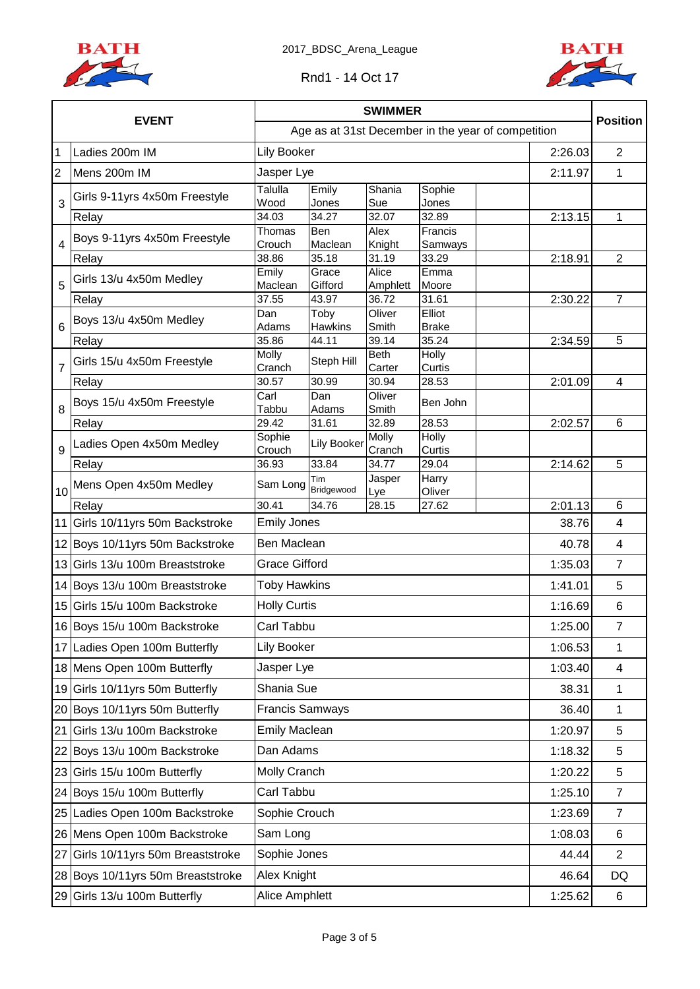



|                |                                    | <b>SWIMMER</b>                                     |                                 |                      |                 |         |                 |
|----------------|------------------------------------|----------------------------------------------------|---------------------------------|----------------------|-----------------|---------|-----------------|
|                | <b>EVENT</b>                       | Age as at 31st December in the year of competition |                                 |                      |                 |         |                 |
| $\mathbf 1$    | Ladies 200m IM                     | <b>Lily Booker</b>                                 |                                 |                      |                 | 2:26.03 | $\overline{2}$  |
| $\overline{2}$ | Mens 200m IM                       | Jasper Lye                                         |                                 |                      |                 | 2:11.97 | $\mathbf{1}$    |
| 3              | Girls 9-11yrs 4x50m Freestyle      | Talulla<br>Wood                                    | Emily<br>Jones                  | Shania<br>Sue        | Sophie<br>Jones |         |                 |
|                | Relay                              | 34.03                                              | 34.27                           | 32.07                | 32.89           | 2:13.15 | 1               |
|                | Boys 9-11yrs 4x50m Freestyle       | Thomas                                             | Ben                             | Alex                 | Francis         |         |                 |
| 4              |                                    | Crouch                                             | Maclean                         | Knight               | Samways         |         |                 |
|                | Relay                              | 38.86<br>Emily                                     | 35.18<br>Grace                  | 31.19<br>Alice       | 33.29<br>Emma   | 2:18.91 | $\overline{2}$  |
| 5              | Girls 13/u 4x50m Medley            | Maclean                                            | Gifford                         | Amphlett             | Moore           |         |                 |
|                | Relay                              | 37.55                                              | 43.97                           | 36.72                | 31.61           | 2:30.22 | $\overline{7}$  |
|                | Boys 13/u 4x50m Medley             | Dan                                                | Toby                            | Oliver               | Elliot          |         |                 |
| 6              |                                    | Adams                                              | <b>Hawkins</b>                  | Smith                | <b>Brake</b>    |         |                 |
|                | Relay                              | 35.86<br>Molly                                     | 44.11                           | 39.14<br><b>Beth</b> | 35.24<br>Holly  | 2:34.59 | 5               |
| $\overline{7}$ | Girls 15/u 4x50m Freestyle         | Cranch                                             | Steph Hill                      | Carter               | Curtis          |         |                 |
|                | Relay                              | 30.57                                              | 30.99                           | 30.94                | 28.53           | 2:01.09 | 4               |
|                | Boys 15/u 4x50m Freestyle          | Carl                                               | Dan                             | Oliver               | Ben John        |         |                 |
| 8              |                                    | Tabbu                                              | Adams                           | Smith                |                 |         |                 |
|                | Relay                              | 29.42<br>Sophie                                    | 31.61                           | 32.89<br>Molly       | 28.53<br>Holly  | 2:02.57 | $6\phantom{1}6$ |
| 9              | Ladies Open 4x50m Medley           | Crouch                                             | <b>Lily Booker</b>              | Cranch               | Curtis          |         |                 |
|                | Relay                              | 36.93                                              | 33.84                           | 34.77                | 29.04           | 2:14.62 | 5               |
| 10             | Mens Open 4x50m Medley             | Sam Long                                           | Tim<br>Bridgewood               | Jasper<br>Lye        | Harry<br>Oliver |         |                 |
|                | Relay                              | 30.41                                              | 34.76                           | 28.15                | 27.62           | 2:01.13 | 6               |
|                | 11 Girls 10/11yrs 50m Backstroke   | <b>Emily Jones</b>                                 |                                 |                      |                 | 38.76   | 4               |
|                | 12 Boys 10/11yrs 50m Backstroke    |                                                    | Ben Maclean<br>40.78            |                      |                 |         |                 |
|                | 13 Girls 13/u 100m Breaststroke    |                                                    | <b>Grace Gifford</b><br>1:35.03 |                      |                 |         |                 |
|                | 14 Boys 13/u 100m Breaststroke     | <b>Toby Hawkins</b>                                |                                 |                      |                 | 1:41.01 | 5               |
|                | 15 Girls 15/u 100m Backstroke      | <b>Holly Curtis</b>                                |                                 |                      |                 | 1:16.69 | $6\phantom{1}6$ |
|                | 16 Boys 15/u 100m Backstroke       | Carl Tabbu                                         |                                 |                      |                 | 1:25.00 | 7               |
|                | 17 Ladies Open 100m Butterfly      | Lily Booker                                        |                                 |                      |                 | 1:06.53 | 1               |
|                | 18 Mens Open 100m Butterfly        | Jasper Lye                                         |                                 |                      |                 | 1:03.40 | $\overline{4}$  |
|                | 19 Girls 10/11yrs 50m Butterfly    | Shania Sue                                         |                                 |                      |                 | 38.31   | $\mathbf 1$     |
|                | 20 Boys 10/11yrs 50m Butterfly     | <b>Francis Samways</b>                             |                                 |                      |                 | 36.40   | $\mathbf{1}$    |
| 21             | Girls 13/u 100m Backstroke         | <b>Emily Maclean</b>                               |                                 |                      |                 | 1:20.97 | 5               |
|                | 22 Boys 13/u 100m Backstroke       | Dan Adams                                          |                                 |                      |                 | 1:18.32 | 5               |
|                | 23 Girls 15/u 100m Butterfly       | Molly Cranch                                       |                                 |                      |                 | 1:20.22 | 5               |
|                | 24 Boys 15/u 100m Butterfly        | Carl Tabbu                                         |                                 |                      |                 | 1:25.10 | $\overline{7}$  |
|                | 25 Ladies Open 100m Backstroke     | Sophie Crouch                                      |                                 |                      |                 | 1:23.69 | $\overline{7}$  |
|                | 26 Mens Open 100m Backstroke       | Sam Long                                           |                                 |                      |                 | 1:08.03 | 6               |
| 27             | Girls 10/11yrs 50m Breaststroke    | Sophie Jones                                       |                                 |                      |                 | 44.44   | $\overline{2}$  |
|                | 28 Boys 10/11 yrs 50m Breaststroke | Alex Knight                                        |                                 |                      |                 | 46.64   | DQ              |
|                | 29 Girls 13/u 100m Butterfly       | Alice Amphlett                                     |                                 |                      |                 | 1:25.62 | 6               |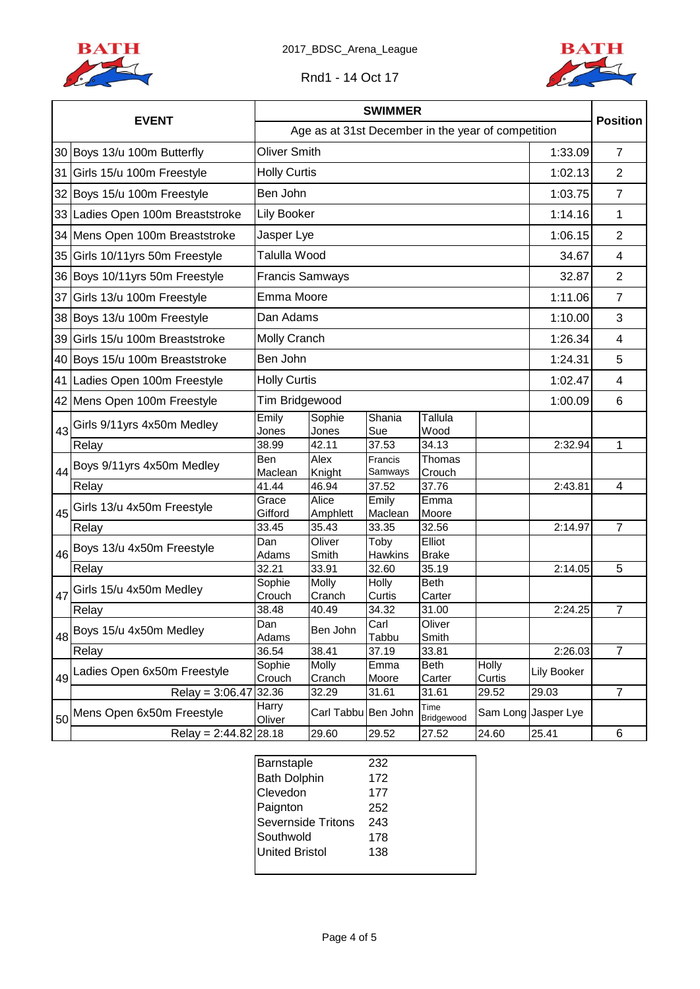



Rnd1 - 14 Oct 17

|    |                                  | <b>SWIMMER</b>                                     |                                 |                    |                        |                 |                     |                         |  |
|----|----------------------------------|----------------------------------------------------|---------------------------------|--------------------|------------------------|-----------------|---------------------|-------------------------|--|
|    | <b>EVENT</b>                     | Age as at 31st December in the year of competition |                                 |                    |                        |                 |                     |                         |  |
|    | 30 Boys 13/u 100m Butterfly      | <b>Oliver Smith</b>                                |                                 |                    |                        |                 | 1:33.09             | $\overline{7}$          |  |
|    | 31 Girls 15/u 100m Freestyle     | <b>Holly Curtis</b>                                |                                 |                    |                        |                 | 1:02.13             | $\overline{2}$          |  |
|    | 32 Boys 15/u 100m Freestyle      | Ben John                                           |                                 |                    |                        |                 | 1:03.75             | $\overline{7}$          |  |
|    | 33 Ladies Open 100m Breaststroke | Lily Booker                                        |                                 |                    |                        |                 | 1:14.16             | $\mathbf{1}$            |  |
|    | 34 Mens Open 100m Breaststroke   | Jasper Lye                                         |                                 |                    |                        |                 | 1:06.15             | $\overline{2}$          |  |
|    | 35 Girls 10/11yrs 50m Freestyle  | Talulla Wood                                       |                                 |                    |                        |                 | 34.67               | $\overline{4}$          |  |
|    | 36 Boys 10/11yrs 50m Freestyle   |                                                    | <b>Francis Samways</b><br>32.87 |                    |                        |                 |                     |                         |  |
|    | 37 Girls 13/u 100m Freestyle     | Emma Moore                                         |                                 |                    |                        |                 | 1:11.06             | $\overline{7}$          |  |
|    | 38 Boys 13/u 100m Freestyle      | Dan Adams                                          |                                 |                    |                        |                 | 1:10.00             | 3                       |  |
| 39 | Girls 15/u 100m Breaststroke     | Molly Cranch                                       |                                 |                    |                        |                 | 1:26.34             | $\overline{\mathbf{4}}$ |  |
|    | 40 Boys 15/u 100m Breaststroke   | Ben John                                           |                                 |                    |                        |                 | 1:24.31             | 5                       |  |
|    | 41 Ladies Open 100m Freestyle    | <b>Holly Curtis</b>                                |                                 |                    |                        |                 | 1:02.47             | $\overline{\mathbf{4}}$ |  |
|    | 42 Mens Open 100m Freestyle      |                                                    | Tim Bridgewood<br>1:00.09       |                    |                        |                 |                     |                         |  |
| 43 | Girls 9/11yrs 4x50m Medley       | Emily<br>Jones                                     | Sophie<br>Jones                 | Shania<br>Sue      | Tallula<br>Wood        |                 |                     |                         |  |
|    | Relay                            | 38.99                                              | 42.11                           | 37.53              | 34.13                  |                 | 2:32.94             | 1                       |  |
| 44 | Boys 9/11yrs 4x50m Medley        | <b>Ben</b><br>Maclean                              | Alex<br>Knight                  | Francis<br>Samways | Thomas<br>Crouch       |                 |                     |                         |  |
|    | Relay                            | 41.44                                              | 46.94                           | 37.52              | 37.76                  |                 | 2:43.81             | 4                       |  |
| 45 | Girls 13/u 4x50m Freestyle       | Grace<br>Gifford                                   | Alice<br>Amphlett               | Emily<br>Maclean   | Emma<br>Moore          |                 |                     |                         |  |
|    | Relay                            | 33.45                                              | 35.43                           | 33.35              | 32.56                  |                 | 2:14.97             | $\overline{7}$          |  |
| 46 | Boys 13/u 4x50m Freestyle        | Dan<br>Adams                                       | Oliver<br>Smith                 | Toby<br>Hawkins    | Elliot<br><b>Brake</b> |                 |                     |                         |  |
|    | Relay                            | 32.21                                              | 33.91                           | 32.60              | 35.19                  |                 | 2:14.05             | 5                       |  |
| 47 | Girls 15/u 4x50m Medley          | Sophie                                             | Molly                           | Holly              | <b>Beth</b>            |                 |                     |                         |  |
|    | Relay                            | Crouch<br>38.48                                    | Cranch<br>40.49                 | Curtis<br>34.32    | Carter<br>31.00        |                 | 2:24.25             | $\overline{7}$          |  |
| 48 | Boys 15/u 4x50m Medley           | Dan<br>Adams                                       | Ben John                        | Carl<br>Tabbu      | Oliver<br>Smith        |                 |                     |                         |  |
|    | Relay                            | 36.54                                              | 38.41                           | 37.19              | 33.81                  |                 | 2:26.03             | $\overline{7}$          |  |
| 49 | Ladies Open 6x50m Freestyle      | Sophie<br>Crouch                                   | Molly<br>Cranch                 | Emma<br>Moore      | Beth<br>Carter         | Holly<br>Curtis | Lily Booker         |                         |  |
|    | Relay = $3:06.47$ 32.36          |                                                    | 32.29                           | 31.61              | 31.61                  | 29.52           | 29.03               | $\overline{7}$          |  |
| 50 | Mens Open 6x50m Freestyle        | Harry<br>Oliver                                    | Carl Tabbu Ben John             |                    | Time<br>Bridgewood     |                 | Sam Long Jasper Lye |                         |  |
|    | Relay = $2:44.82$ 28.18          |                                                    | 29.60                           | 29.52              | 27.52                  | 24.60           | 25.41               | 6                       |  |

| Barnstaple            | 232 |  |
|-----------------------|-----|--|
| <b>Bath Dolphin</b>   | 172 |  |
| Clevedon              | 177 |  |
| Paignton              | 252 |  |
| Severnside Tritons    | 243 |  |
| Southwold             | 178 |  |
| <b>United Bristol</b> | 138 |  |
|                       |     |  |